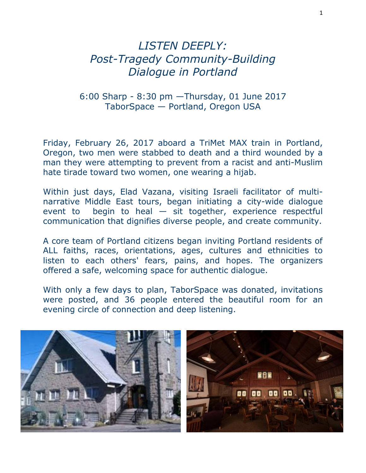## *LISTEN DEEPLY: Post-Tragedy Community-Building Dialogue in Portland*

## 6:00 Sharp - 8:30 pm —Thursday, 01 June 2017 TaborSpace — Portland, Oregon USA

Friday, February 26, 2017 aboard a TriMet MAX train in Portland, Oregon, two men were stabbed to death and a third wounded by a man they were attempting to prevent from a racist and anti-Muslim hate tirade toward two women, one wearing a hijab.

Within just days, Elad Vazana, visiting Israeli facilitator of multinarrative Middle East tours, began initiating a city-wide dialogue event to begin to heal  $-$  sit together, experience respectful communication that dignifies diverse people, and create community.

A core team of Portland citizens began inviting Portland residents of ALL faiths, races, orientations, ages, cultures and ethnicities to listen to each others' fears, pains, and hopes. The organizers offered a safe, welcoming space for authentic dialogue.

With only a few days to plan, TaborSpace was donated, invitations were posted, and 36 people entered the beautiful room for an evening circle of connection and deep listening.

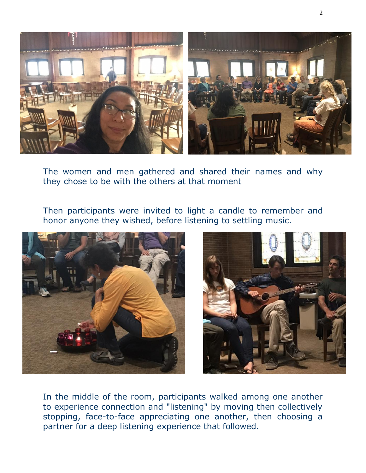

The women and men gathered and shared their names and why they chose to be with the others at that moment

Then participants were invited to light a candle to remember and honor anyone they wished, before listening to settling music.





In the middle of the room, participants walked among one another to experience connection and "listening" by moving then collectively stopping, face-to-face appreciating one another, then choosing a partner for a deep listening experience that followed.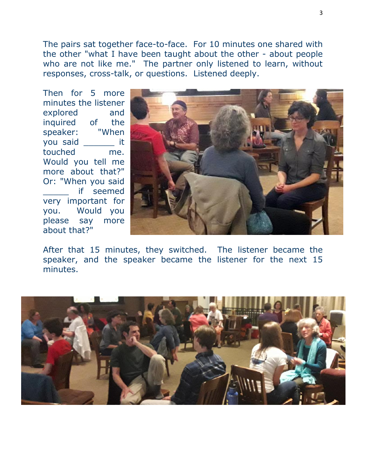The pairs sat together face-to-face. For 10 minutes one shared with the other "what I have been taught about the other - about people who are not like me." The partner only listened to learn, without responses, cross-talk, or questions. Listened deeply.

Then for 5 more minutes the listener explored and inquired of the speaker: "When you said \_\_\_\_\_\_ it touched me. Would you tell me more about that?" Or: "When you said if seemed very important for you. Would you please say more about that?"



After that 15 minutes, they switched. The listener became the speaker, and the speaker became the listener for the next 15 minutes.

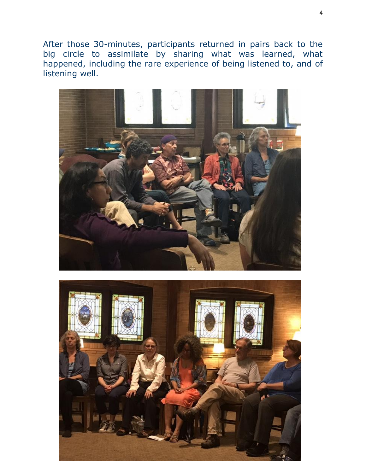After those 30-minutes, participants returned in pairs back to the big circle to assimilate by sharing what was learned, what happened, including the rare experience of being listened to, and of listening well.



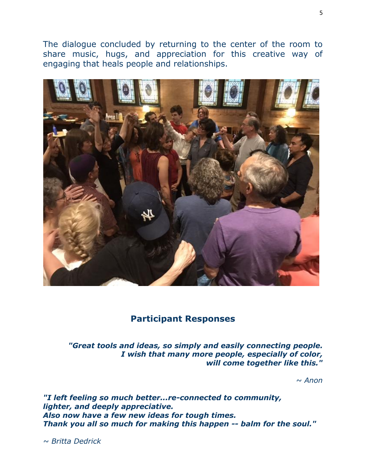The dialogue concluded by returning to the center of the room to share music, hugs, and appreciation for this creative way of engaging that heals people and relationships.



## **Participant Responses**

*"Great tools and ideas, so simply and easily connecting people. I wish that many more people, especially of color, will come together like this."*

*~ Anon*

*"I left feeling so much better...re-connected to community, lighter, and deeply appreciative. Also now have a few new ideas for tough times. Thank you all so much for making this happen -- balm for the soul."*

*~ Britta Dedrick*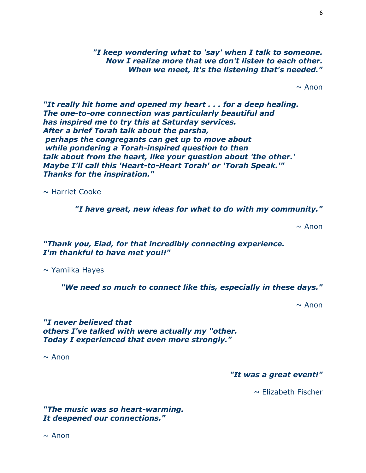*"I keep wondering what to 'say' when I talk to someone. Now I realize more that we don't listen to each other. When we meet, it's the listening that's needed."*

 $\sim$  Anon

*"It really hit home and opened my heart . . . for a deep healing. The one-to-one connection was particularly beautiful and has inspired me to try this at Saturday services. After a brief Torah talk about the parsha, perhaps the congregants can get up to move about while pondering a Torah-inspired question to then talk about from the heart, like your question about 'the other.' Maybe I'll call this 'Heart-to-Heart Torah' or 'Torah Speak.'" Thanks for the inspiration."*

 $\sim$  Harriet Cooke

*"I have great, new ideas for what to do with my community."*

 $\sim$  Anon

*"Thank you, Elad, for that incredibly connecting experience. I'm thankful to have met you!!"*

 $\sim$  Yamilka Hayes

*"We need so much to connect like this, especially in these days."*

 $\sim$  Anon

*"I never believed that others I've talked with were actually my "other. Today I experienced that even more strongly."*

 $\sim$  Anon

*"It was a great event!"* 

 $\sim$  Elizabeth Fischer

*"The music was so heart-warming. It deepened our connections."*

 $\sim$  Anon